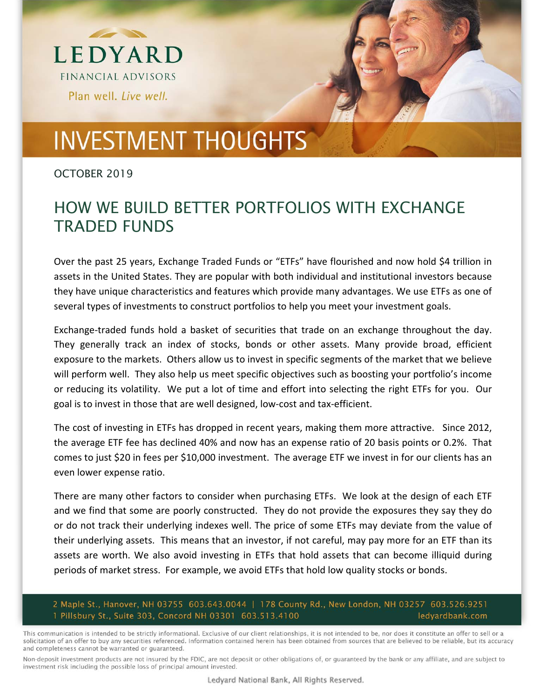



## **INVESTMENT THOUGHTS**

OCTOBER 2019

## HOW WE BUILD BETTER PORTFOLIOS WITH EXCHANGE TRADED FUNDS

Over the past 25 years, Exchange Traded Funds or "ETFs" have flourished and now hold \$4 trillion in assets in the United States. They are popular with both individual and institutional investors because they have unique characteristics and features which provide many advantages. We use ETFs as one of several types of investments to construct portfolios to help you meet your investment goals.

Exchange-traded funds hold a basket of securities that trade on an exchange throughout the day. They generally track an index of stocks, bonds or other assets. Many provide broad, efficient exposure to the markets. Others allow us to invest in specific segments of the market that we believe will perform well. They also help us meet specific objectives such as boosting your portfolio's income or reducing its volatility. We put a lot of time and effort into selecting the right ETFs for you. Our goal is to invest in those that are well designed, low‐cost and tax‐efficient.

The cost of investing in ETFs has dropped in recent years, making them more attractive. Since 2012, the average ETF fee has declined 40% and now has an expense ratio of 20 basis points or 0.2%. That comes to just \$20 in fees per \$10,000 investment. The average ETF we invest in for our clients has an even lower expense ratio.

There are many other factors to consider when purchasing ETFs. We look at the design of each ETF and we find that some are poorly constructed. They do not provide the exposures they say they do or do not track their underlying indexes well. The price of some ETFs may deviate from the value of their underlying assets. This means that an investor, if not careful, may pay more for an ETF than its assets are worth. We also avoid investing in ETFs that hold assets that can become illiquid during periods of market stress. For example, we avoid ETFs that hold low quality stocks or bonds.

2 Maple St., Hanover, NH 03755 603.643.0044 | 178 County Rd., New London, NH 03257 603.526.9251 1 Pillsbury St., Suite 303, Concord NH 03301 603.513.4100 ledyardbank.com

This communication is intended to be strictly informational. Exclusive of our client relationships, it is not intended to be, nor does it constitute an offer to sell or a solicitation of an offer to buy any securities referenced. Information contained herein has been obtained from sources that are believed to be reliable, but its accuracy and completeness cannot be warranted or guaranteed.

Non-deposit investment products are not insured by the FDIC, are not deposit or other obligations of, or guaranteed by the bank or any affiliate, and are subject to investment risk including the possible loss of principal amount invested.

Ledyard National Bank, All Rights Reserved.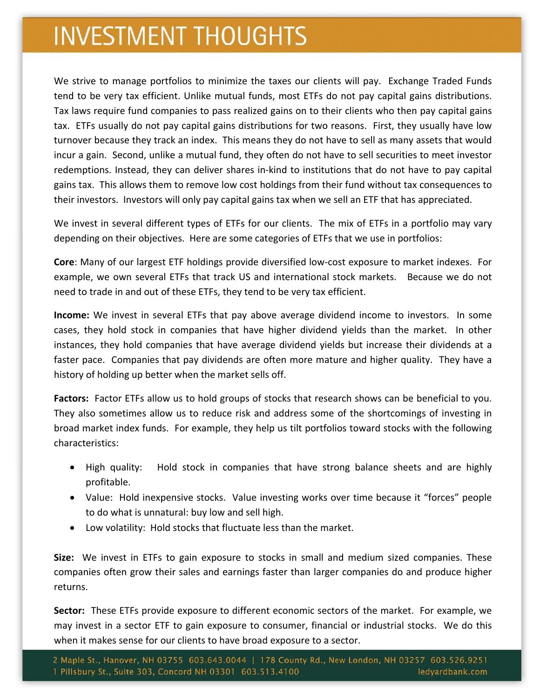## **INVESTMENT THOUGHTS**

We strive to manage portfolios to minimize the taxes our clients will pay. Exchange Traded Funds tend to be very tax efficient. Unlike mutual funds, most ETFs do not pay capital gains distributions. Tax laws require fund companies to pass realized gains on to their clients who then pay capital gains tax. ETFs usually do not pay capital gains distributions for two reasons. First, they usually have low turnover because they track an index. This means they do not have to sell as many assets that would incur a gain. Second, unlike a mutual fund, they often do not have to sell securities to meet investor redemptions. Instead, they can deliver shares in-kind to institutions that do not have to pay capital gains tax. This allows them to remove low cost holdings from their fund without tax consequences to their investors. Investors will only pay capital gains tax when we sell an ETF that has appreciated.

We invest in several different types of ETFs for our clients. The mix of ETFs in a portfolio may vary depending on their objectives. Here are some categories of ETFs that we use in portfolios:

**Core**: Many of our largest ETF holdings provide diversified low‐cost exposure to market indexes. For example, we own several ETFs that track US and international stock markets. Because we do not need to trade in and out of these ETFs, they tend to be very tax efficient.

**Income:** We invest in several ETFs that pay above average dividend income to investors. In some cases, they hold stock in companies that have higher dividend yields than the market. In other instances, they hold companies that have average dividend yields but increase their dividends at a faster pace. Companies that pay dividends are often more mature and higher quality. They have a history of holding up better when the market sells off.

**Factors:** Factor ETFs allow us to hold groups of stocks that research shows can be beneficial to you. They also sometimes allow us to reduce risk and address some of the shortcomings of investing in broad market index funds. For example, they help us tilt portfolios toward stocks with the following characteristics:

- High quality: Hold stock in companies that have strong balance sheets and are highly profitable.
- Value: Hold inexpensive stocks. Value investing works over time because it "forces" people to do what is unnatural: buy low and sell high.
- Low volatility: Hold stocks that fluctuate less than the market.

**Size:** We invest in ETFs to gain exposure to stocks in small and medium sized companies. These companies often grow their sales and earnings faster than larger companies do and produce higher returns.

Sector: These ETFs provide exposure to different economic sectors of the market. For example, we may invest in a sector ETF to gain exposure to consumer, financial or industrial stocks. We do this when it makes sense for our clients to have broad exposure to a sector.